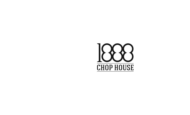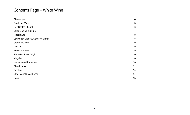# Contents Page - White Wine

| Champagne                           | 4   |
|-------------------------------------|-----|
| <b>Sparkling Wine</b>               | 5   |
| Half Bottles (375ml)                | 6   |
| Large Bottles (1.5l & 3l)           | 7   |
| <b>Pinot Blanc</b>                  | 8   |
| Sauvignon Blanc & Sémillon Blends   | 8   |
| Grüner Veltliner                    | $9$ |
| Moscato                             | $9$ |
| Gewurztraminer                      | 9   |
| Pinot Gris/Pinot Grigio             | 10  |
| Viognier                            | 10  |
| Marsanne & Rousanne                 | 10  |
| Chardonnay                          | 11  |
| Riesling                            | 14  |
| <b>Other Varietals &amp; Blends</b> | 14  |
| Rosé                                | 15  |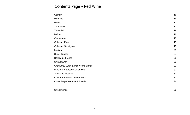## Contents Page - Red Wine

| 15 |
|----|
| 17 |
| 17 |
| 18 |
| 18 |
| 18 |
| 19 |
| 19 |
| 23 |
| 24 |
| 25 |
| 30 |
| 32 |
| 32 |
| 33 |
| 33 |
| 34 |
|    |
|    |

#### [Sweet Wines](#page-34-0) 35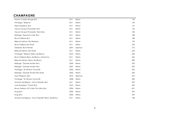# <span id="page-3-0"></span>**CHAMPAGNE**

| Mumm, Cordon Rouge Brut                           | N/V  | Reims   | 143 |
|---------------------------------------------------|------|---------|-----|
| Pol Roger, "Réserve"                              | N/V  | Reims   | 159 |
| Piper Heidsieck, Brut                             | N/V  | Reims   | 161 |
| Veuve Clicquot Ponsardin, Brut                    | N/V  | Reims   | 162 |
| Veuve Clicquot Ponsardin, Demi-Sec                | N/V  | Reims   | 182 |
| Bollinger, "Special Cuvée" Brut                   | N/V  | Reims   | 188 |
| Bruno Paillard, Brut                              | N/V  | Reims   | 188 |
| <b>Billecart Salmon, Brut Reserve</b>             | N/V  | Reims   | 190 |
| Bruno Paillard, Brut Rosé                         | N/V  | Reims   | 203 |
| Delahaie, Brut Premier                            | 2007 | Epernay | 210 |
| Billecart Salmon, Brut Rosé                       | N/V  | Reims   | 244 |
| Pol Roger, "Réserve" Blanc de Blancs              | 2012 | Reims   | 250 |
| Bruno Paillard, Blanc de Blancs, Grand Cru        | N/V  | Reims   | 266 |
| Billecart Salmon, Blanc de Blancs                 | N/V  | Reims   | 280 |
| Bollinger, "Grande Année" Brut                    | 2004 | Reims   | 329 |
| Bollinger, "Grande Année" Brut                    | 2007 | Reims   | 369 |
| Pol Roger, "Sir Winston Churchill"                | 2006 | Reims   | 433 |
| Bollinger, "Grande Année" Brut Rosé               | 2005 | Reims   | 440 |
| Dom Pérignon, Brut                                | 2010 | Epernay | 475 |
| Pol Roger, "Sir Winston Churchill"                | 2008 | Reims   | 500 |
| Armand de Brignac, "Ace of Spade" Brut            | N/V  | Reims   | 590 |
| Louis Roederer, "Cristal" Brut                    | 2013 | Reims   | 690 |
| Bruno Paillard, N.P.U Nec Plus Ultra, Brut        | 2004 | Reims   | 691 |
| Krug, Brut                                        | 2000 | Reims   | 692 |
| Krug, Brut                                        | 2004 | Reims   | 699 |
| Armand de Brignac, "Ace of Spade" Blanc de Blancs | N/V  | Reims   | 728 |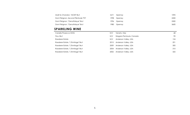| M/V   | 1092                                     |
|-------|------------------------------------------|
| 1998. | 2200                                     |
| 1996. | 2500                                     |
| 1980- | 3600                                     |
|       | Epernav<br>Eperney<br>Epernay<br>Epernav |

### <span id="page-4-0"></span>**SPARKLING WINE**

| Canella Prosecco DOG               | N/V  | Veneto, Italy             | 68  |
|------------------------------------|------|---------------------------|-----|
| Trius, Brut                        | N/V  | Niagara Peninsula, Canada | 90  |
| Roederer Estate                    | N/V  | Anderson Valley, USA      | 124 |
| Roederer Estate, "L'Ermitage" Brut | 2015 | Anderson Valley, USA      | 291 |
| Roederer Estate, "L'Ermitage" Brut | 2009 | Anderson Valley, USA      | 300 |
| Roederer Estate, "L'Ermitage" Brut | 2004 | Anderson Valley, USA      | 310 |
| Roederer Estate, "L'Ermitage" Brut | 2002 | Anderson Valley, USA      | 325 |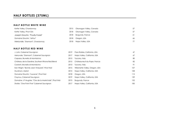### <span id="page-5-0"></span>**HALF BOTTLES (375ML)**

#### **HALF BOTTLE WHITE WINE**

| Kettle Valley, Chardonnay         | 2015 | Okanagan Valley, Canada |    |
|-----------------------------------|------|-------------------------|----|
| Kettle Valley, Pinot Gris         | 2018 | Okanagan Valley, Canada | 57 |
| Joseph Drouhin, "Pouilly-Fuissé"  | 2018 | Burgundy, France        | 61 |
| Domaine Drouhin, "Arthur"         | 2018 | Oregon, USA             | 66 |
| Merryvale, "Starmont", Chardonnay | 2018 | Napa Valley, USA        |    |
|                                   |      |                         |    |

#### **HALF BOTTLE RED WINE**

<span id="page-5-1"></span>

| J. Lohr, Cabernet Sauvignon                             | 2019 | Paso Robles, California, USA   | 47  |
|---------------------------------------------------------|------|--------------------------------|-----|
| Merryvale, "Starmont", Cabernet Sauvignon               | 2017 | Napa Valley, California, USA   | 67  |
| Caparzo, Brunello di Montalcino                         | 2015 | Tuscany, Italy                 | 80  |
| Château de la Gardine, Southern Rhone Red Blend         | 2015 | Châteauneuf-du-Pape, France    | 82  |
| Costanti, Brunello di Montalcino                        | 2013 | Tuscany, Italy                 | 91  |
| Ken Wright, "Bonnie Jean Vineyard", Pinot Noir          | 2015 | Willamette Valley, Oregon, USA | 107 |
| Duckhorn, Merlot                                        | 2015 | Napa Valley, California, USA   | 108 |
| Domaine Drouhin, "Laurene", Pinot Noir                  | 2018 | Oregon, USA                    | 115 |
| Caymus, Cabernet Sauvignon                              | 2019 | Napa Valley, California, USA   | 139 |
| Domaine J-F Mugnier, "Clos de la Maréchale", Pinot Noir | 2013 | Burgundy, France               | 152 |
| Shafer, "One Point Five" Cabernet Sauvignon             | 2017 | Napa Valley, California, USA   | 185 |
|                                                         |      |                                |     |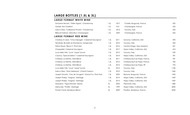## **LARGE BOTTLES (1.5L & 3L)**

### **LARGE FORMAT WHITE WINE**

| Domaine Servain, "Vielle Vignes", Chardonnay             | 1.5L | 2017 | Chablis, Burgundy, France    | 202  |
|----------------------------------------------------------|------|------|------------------------------|------|
| Gardet, Brut Tradition                                   | 1.5L | N/V  | Champagne, France            | 235  |
| Isole e Olea, "Collezione Privata", Chardonnay           | 1.5L | 2016 | Tuscany, Italy               | 250  |
| Billecart Salmon, Extra Brut, Champagne                  | 1.5L | 2007 | Champagne, France            | 605  |
| LARGE FORMAT RED WINE                                    |      |      |                              |      |
| Chateau St Jean, "Cinq Cépages", Cabernet Sauvignon      | 1.5L | 2011 | Sonoma, California, USA      | 390  |
| Terralsole, Brunello di Montalcino, Sangiovese           | 1.5L | 2010 | Tuscany, Italy               | 432  |
| Felton Road, "Block 5", Pinot Noir                       | 1.5L | 2016 | Central Otago, New Zealand   | 451  |
| Chappellet, Cabernet Sauvignon                           | 1.5L | 2017 | Napa Valley, California, USA | 474  |
| Luce della Vite, "Luce", Super Tuscan                    | 1.5L | 2012 | Tuscany, Italy               | 539  |
| Caymus, "Special Select", Cabernet Sauvignon             | 1.5L | 2014 | Napa Valley, California, USA | 781  |
| Château La Nerthe, GSM Blend                             | 1.5L | 2011 | Châteauneuf-du-Pape, France  | 781  |
| Château La Nerthe, GSM Blend                             | 1.5L | 2012 | Châteauneuf-du-Pape, France  | 782  |
| Château La Nerthe, GSM Blend                             | 1.5L | 2013 | Châteauneuf-du-Pape, FR      | 792  |
| Luce della Vite, "Luce", Super Tuscan                    | 3L   | 2013 | Tuscany, Italy               | 1182 |
| Isole e Olea, "Gran Selezione", Chianti Classico         | 1.5L | 2010 | Tuscany, Italy               | 1360 |
| Joseph Drouhin, "Clos de Vougeot", Grand Cru, Pinot Noir | 1.5L | 2005 | Beaune, Burgundy, France     | 1450 |
| Joseph Phelps, "Insignia", Meritage                      | 1.5L | 2015 | Napa Valley, California, USA | 1459 |
| Joseph Phelps, "Insignia", Meritage                      | 1.5L | 2013 | Napa Valley, California, USA | 1459 |
| Massolino, "Vigna Rionda", Barolo                        | 3L   | 2005 | Piemonte, Italy              | 1480 |
| Merryvale, "Profile", Meritage                           | 3L   | 1999 | Napa Valley, California, USA | 2000 |
| Pontet Canet, Bordeaux Blend                             | 3L   | 2009 | Pauillac, Bordeaux, France   | 4500 |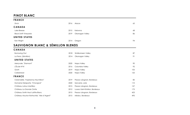### <span id="page-7-0"></span>**PINOT BLANC**

<span id="page-7-1"></span>

| <b>FRANCE</b>                              |      |                                |     |
|--------------------------------------------|------|--------------------------------|-----|
| Zinck                                      | 2016 | Alsace                         | 65  |
| CANADA                                     |      |                                |     |
| Lake Breeze                                | 2015 | Kelowna                        | 68  |
| <b>Black Swift Vineyards</b>               | 2019 | Okanagan Valley                | 86  |
| <b>UNITED STATES</b>                       |      |                                |     |
| Ken Wright                                 | 2014 | Oregon                         | 94  |
| SAUVIGNON BLANC & SÉMILLON BLENDS          |      |                                |     |
| CANADA                                     |      |                                |     |
| <b>Burrowing Owl</b>                       | 2018 | Similkameen Valley             | 87  |
| La Frenz, (Sémillon)                       | 2014 | Okanagan Valley                | 91  |
| <b>UNITED STATES</b>                       |      |                                |     |
| Merryvale, "Starmont"                      | 2020 | Napa Valley                    | 90  |
| L'Ecole N°41                               | 2016 | Columbia Valley                | 92  |
| Groth                                      | 2019 | Napa Valley                    | 105 |
| Cakebread                                  | 2020 | Napa Valley                    | 125 |
| <b>FRANCE</b>                              |      |                                |     |
| Clarendelle, "Inspired by Haut-Brion"      | 2019 | Pessac-Léognan, Bordeaux       | 85  |
| Domaine Delaporte, "Chavignol"             | 2020 | Sancerre, Loire                | 110 |
| Château Latour Martillac                   | 2015 | Pessac-Léognan, Bordeaux       | 157 |
| Château La Grande Clotte                   | 2012 | Lussac-Saint-Emilion, Bordeaux | 175 |
| Château Smith Haut Lafitte Blanc           | 2015 | Pessac-Léognan, Bordeaux       | 423 |
| Château Mouton Rothschild, "Aile d'Argent" | 2015 | Médoc, Bordeaux                | 495 |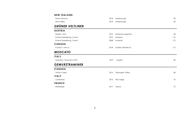#### **NEW ZEALAND**

| Seven Terraces | 2018 Marlborough |    |
|----------------|------------------|----|
| Mount Riley    | 2018 Marlborough | 68 |

### <span id="page-8-0"></span>**GRÜNER VELTLINER**

#### **AUSTRIA**

| Hiedler, "Löss"            | 2014 | Kamptal-Langenlois | 68  |
|----------------------------|------|--------------------|-----|
| Schloss Gobelsburg, "Lamm" | 2012 | Kamptal            | 110 |
| Schloss Gobelsburg, "Lamm" | 2008 | Kamptal            | 110 |
| <b>CANADA</b>              |      |                    |     |

#### Culmina, "Unicus" 2018 Golden Mile Bench 115

### <span id="page-8-1"></span>**MOSCATO**

<span id="page-8-3"></span><span id="page-8-2"></span>

| <b>ITALY</b>                |      |                 |    |
|-----------------------------|------|-----------------|----|
| Massolino, "Moscato d'Asti" | 2019 | Langhe          | 82 |
| <b>GEWURZTRAMINER</b>       |      |                 |    |
| <b>CANADA</b>               |      |                 |    |
| <b>Tinhorn Creek</b>        | 2016 | Okanagan Valley | 68 |
| <b>ITALY</b>                |      |                 |    |
| Colterenzio                 | 2015 | Alto Adige      | 73 |
| <b>FRANCE</b>               |      |                 |    |
| Wolfberger                  | 2017 | Alsace          | 72 |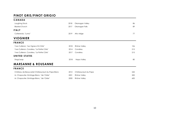### **PINOT GRIS/PINOT GRIGIO**

<span id="page-9-1"></span><span id="page-9-0"></span>

| <b>CANADA</b>                                   |      |                     |     |
|-------------------------------------------------|------|---------------------|-----|
| Laughing Stock                                  | 2018 | Okanagan Valley     | 86  |
| <b>Blasted Church</b>                           | 2017 | Okanagan Falls      | 89  |
| <b>ITALY</b>                                    |      |                     |     |
| Colterenzio, "Lumo"                             | 2019 | Alto Adige          | 77  |
| <b>VIOGNIER</b>                                 |      |                     |     |
| <b>FRANCE</b>                                   |      |                     |     |
| Yves Cuilleron, "Les Vignes d'â Côte"           | 2018 | Rhône Valley        | 106 |
| Yves Cuilleron, Condrieu, "La Petite Côte"      | 2014 | Condrieu            | 215 |
| Yves Cuilleron, Condrieu, "La Petite Côte"      | 2017 | Condrieu            | 215 |
| <b>UNITED STATES</b>                            |      |                     |     |
| Stags'Leap                                      | 2018 | Napa Valley         | 80  |
| <b>MARSANNE &amp; ROUSANNE</b>                  |      |                     |     |
| <b>FRANCE</b>                                   |      |                     |     |
| Château de Beaucastel Châteauneuf-du-Pape Blanc | 2012 | Châteauneuf-du-Pape | 245 |
| M. Chapoutier, Ermitage Blanc, "de l'Orée"      | 2001 | Rhône Valley        | 500 |
| M. Chapoutier, Ermitage Blanc, "de l'Orée"      | 2000 | Rhône Valley        | 600 |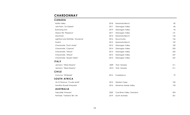### <span id="page-10-0"></span>**CHARDONNAY**

#### **CANADA**

| 2018 | Naramata Bench              | 82  |
|------|-----------------------------|-----|
| 2017 | Okanagan Valley             | 86  |
| 2019 | Okanagan Valley             | 95  |
| 2017 | Okanagan Valley             | 141 |
| 2014 | Naramata Bench              | 142 |
| 2016 | Nova Scotia                 | 156 |
| 2015 | Naramata Bench              | 159 |
| 2015 | Okanagan Valley             | 185 |
| 2014 | Okanagan Valley             | 203 |
| 2014 | Okanagan Valley             | 232 |
| 2015 | Okanagan Valley             | 247 |
| 2014 | Okanagan Valley             | 247 |
|      |                             |     |
| 2009 | Friuli- Venezia             | 211 |
| 2013 | Friuli- Venezia             | 211 |
|      |                             |     |
| 2012 | Casablanca                  | 79  |
|      |                             |     |
| 2012 | Western Cape                | 100 |
| 2014 | Hemel-en-Aarde Valley       | 123 |
|      |                             |     |
| 2020 | Cool River Valley, Tasmaina | 204 |
| 2019 | South Australia             | 361 |
|      |                             |     |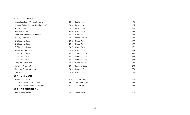#### **USA, CALIFORNIA**

| Kendall-Jackson, "Vintners Reserve"    | 2015 | Santa Rosa           | 75  |
|----------------------------------------|------|----------------------|-----|
| Sonoma Cutrer, "Russian River Ranches" | 2016 | Russian River        | 95  |
| <b>Hartford Court</b>                  | 2019 | <b>Russian River</b> | 108 |
| Freemark Abbey                         | 2020 | Napa Valley          | 135 |
| Rombauer Vineyards, "Carneros"         | 2019 | Carneros             | 144 |
| The Hilt, "Old Guard"                  | 2015 | Santa Barbara        | 172 |
| Château Montelena                      | 2012 | Napa Valley          | 179 |
| Château Montelena                      | 2014 | Napa Valley          | 179 |
| Château Montelena                      | 2017 | Napa Valley          | 179 |
| Merryvale, "Silhouette"                | 2013 | Napa Valley          | 234 |
| Kistler, "Les Noisetiers"              | 2014 | Sonoma Coast         | 239 |
| Kistler, "Les Noisetiers"              | 2015 | Sonoma Coast         | 239 |
| Kistler, "Les Noisetiers"              | 2016 | Sonoma Coast         | 239 |
| Merryvale, "Silhouette"                | 2018 | Napa Valley          | 249 |
| Signorello, "Hope's Cuvée"             | 2014 | Sonoma Coast         | 273 |
| Signorello, "Hope's Cuvée"             | 2016 | Sonoma Coast         | 273 |
| Pahlmeyer                              | 2018 | Napa Valley          | 303 |
| USA, OREGON                            |      |                      |     |
| Joseph Drouhin, "Arthur"               | 2018 | Dundee Hills         | 120 |
| Domaine Serene, "Clos du Soleil"       | 2007 | Willamette Valley    | 168 |
| Domaine Serene, "Evenstad Reserve"     | 2013 | Dundee Hills         | 195 |
| USA, WASHINGTON                        |      |                      |     |
| <b>Woodward Canvon</b>                 | 2014 | Walla Walla          | 110 |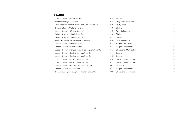#### **FRANCE**

| Joseph Drouhin, "Mâcon-Villages"                       | 2019 | Mâcon                | 68  |
|--------------------------------------------------------|------|----------------------|-----|
| Domaine Lafage, "Novellum"                             | 2016 | Languedoc-Roussillon | 72  |
| Jean-Jacques Vincent, "Château-Fuissé" Tête de Cru     | 2018 | Pouilly-Fuissé       | 96  |
| Domaine Servin, "Vaillons" 1 er Cru                    | 2019 | Chablis              | 125 |
| Joseph Drouhin, "Côte de Beaune"                       | 2017 | Côte de Beaune       | 158 |
| William Fèvre, "Montmains" ler Cru                     | 2016 | Chablis              | 165 |
| William Fèvre, "Montmains" 1 er Cru                    | 2012 | Chablis              | 165 |
| Bouchard Père & Fils, "Beaune du Château"              | 2016 | Côte de Beaune       | 165 |
| Joseph Drouhin, "Floatiéres" 1 er Cru                  | 2014 | Puligny-Montrachet   | 247 |
| Joseph Drouhin, "Floatiéres" 1 er Cru                  | 2017 | Puligny-Montrachet   | 247 |
| Joseph Drouhin, "Morgeot Marquis de Laguiche" 1 er Cru | 2016 | Chassagne-Montrachet | 278 |
| Joseph Drouhin, "Clos Des Mouches" 1 er Cru            | 2014 | Beaune               | 280 |
| Joseph Drouhin, "Clos Des Mouches" 1 er Cru            | 2012 | Beaune               | 280 |
| Joseph Drouhin, "Les Embazées" 1 er Cru                | 2016 | Chassagne-Montrachet | 286 |
| Joseph Drouhin, "Les Embazées" 1 er Cru                | 2015 | Chassagne-Montrachet | 286 |
| Joseph Drouhin, "Meursault-Perrières" 1 er Cru         | 2007 | Meursault            | 320 |
| Joseph Drouhin, "Pucelles" 1 er Cru                    | 2013 | Puligny-Montrachet   | 400 |
| Domaine Jacques Prieur, "Montrachet" Grand Cru         | 2000 | Chassagne-Montrachet | 700 |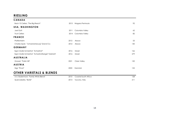### <span id="page-13-0"></span>**RIESLING**

<span id="page-13-2"></span><span id="page-13-1"></span>

| <b>CANADA</b>                                     |      |                      |     |
|---------------------------------------------------|------|----------------------|-----|
| Back 10 Cellars, "The Big Reach"                  | 2013 | Niagara Peninsula    | 92  |
| USA, WASHINGTON                                   |      |                      |     |
| Joel Gott                                         | 2011 | Columbia Valley      | 62  |
| <b>Trust Cellars</b>                              | 2014 | Columbia Valley      | 82  |
| <b>FRANCE</b>                                     |      |                      |     |
| Pfaffenheim                                       | 2012 | Alsace               | 53  |
| Charles Sparr, "Schoenenbourg" Grand Cru          | 2012 | Alsace               | 140 |
| <b>GERMANY</b>                                    |      |                      |     |
| Egon Muller-Scharzhof, "Scharzhof"                | 2016 | Mosel                | 166 |
| Egon Muller-Scharzhof, "Scharzhofberger" Kabinett | 2016 | Mosel                | 279 |
| <b>AUSTRALIA</b>                                  |      |                      |     |
| Grosset, "Polish Hill"                            | 2021 | Clare Valley         | 120 |
| <b>AUSTRIA</b>                                    |      |                      |     |
| Nigl, "Privat"                                    | 2003 | Kremstal             | 125 |
| <b>OTHER VARIETALS &amp; BLENDS</b>               |      |                      |     |
| A.A. Badenhorst, "Family White Blend"             | 2010 | Coastal South Africa | 128 |
| Querciabella, "Batār"                             | 2013 | Tuscany, Italy       | 211 |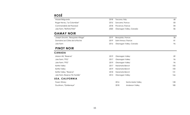# **ROSÉ**

| <b>GAMAY NOIR</b>           |      |                         |    |
|-----------------------------|------|-------------------------|----|
| Joie Farm, "ReThink Pink!"  | 2020 | Okanagan Valley, Canada | 86 |
| Commanderie de Peyrassol    | 2018 | Provence, France        | 84 |
| Roger Neveu, "Le Colombier" | 2016 | Sancerre, France        | 83 |
| Mazzei Belguardo            | 2018 | Toscana, Italy          | 68 |

<span id="page-14-0"></span>

| Joseph Drouhin, "Beaujolais-Village" | 2019 | Beaujolais, France      | 58 |
|--------------------------------------|------|-------------------------|----|
| Domaine Les Côtes de la Roche        | 2019 | Saint-Amour, France     |    |
| Joie Farm                            | 2016 | Okanagan Valley, Canada | 96 |

### <span id="page-14-1"></span>**PINOT NOIR**

#### **CANADA**

| Mission Hill, "Reserve"         | 2019 | Okanagan Valley |                        | 89  |
|---------------------------------|------|-----------------|------------------------|-----|
| Joie Farm, "PTG"                | 2017 | Okanagan Valley |                        | 96  |
| Joie Farm, "PTG"                | 2019 | Okanagan Valley |                        | 96  |
| Kettle Valley                   | 2017 | Naramata Bench  |                        | 100 |
| Kettle Valley                   | 2019 | Naramata Bench  |                        | 100 |
| Kettle Valley, "Reserve"        | 2018 | Naramata Bench  |                        | 131 |
| Joie Farm, Reserve "En Famille" | 2015 | Okanagan Valley |                        | 166 |
| USA, CALIFORNIA                 |      |                 |                        |     |
| Foxen Winery                    |      | 2016            | Santa Maria Valley     | 128 |
| Duckhorn, "Goldeneye"           |      | 2018            | <b>Anderson Valley</b> | 180 |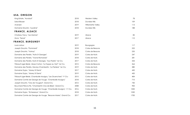### **USA, OREGON**

| King Estate, "Acrobat"                                             | 2018 | <b>Western Valley</b> | 78   |
|--------------------------------------------------------------------|------|-----------------------|------|
| Sokol Blosser                                                      | 2018 | Dundee Hills          | 109  |
| Averaen                                                            | 2019 | Willamette Valley     | 113  |
| Domaine Drouhin, "Laurène"                                         | 2018 | Dundee Hills          | 188  |
| <b>FRANCE, ALSACE</b>                                              |      |                       |      |
| Chateau Tracy, "Les Marnes"                                        | 2019 | Alsace                | 85   |
| Zinck, "Terroir"                                                   | 2017 | Alsace                | 110  |
| FRANCE, BURGUNDY                                                   |      |                       |      |
| Louis Latour                                                       | 2019 | Bourgogne             | 117  |
| Joseph Drouhin, "Pommard"                                          | 2018 | Cotes de Beaune       | 222  |
| Joseph Drouhin, "Volnay"                                           | 2018 | Cotes de Beaune       | 235  |
| Domaine des Perdrix, "Nuits St Georges"                            | 2019 | Cotes de Nuits        | 247  |
| Domaine des Perdrix, "Vosne-Romanee"                               | 2018 | Cotes de Nuits        | 281  |
| Domaine des Perdrix, Nuits St Georges, "Aux Pedrix" 1 er Cru       | 2017 | Cotes de Nuits        | 334  |
| Thibault Liger-Belair, Aloxe Corton, "La Toppe au Vert" 1 er Cru   | 2015 | Cotes de Beaune       | 364  |
| Domaine des Perdrix, Gevrey-Chambertin, "La Perriere" 1 er Cru     | 2019 | Cotes de Nuits        | 380  |
| Domaine Dujac, "Morey St Denis"                                    | 2017 | Cotes de Nuits        | 450  |
| Domaine Dujac, "Morey St Denis"                                    | 2019 | Cotes de Nuits        | 450  |
| Thibault Liger-Belair, Chambolle Musigny, "Les Gruenchers" 1er Cru | 2015 | Cotes de Nuits        | 484  |
| Domaine Comte de George de Vouge, "Chambolle Musigny"              | 2018 | Cotes de Nuits        | 710  |
| Joseph Drouhin, "Clos de Vougeot", Grand Cru                       | 2012 | Cotes de Nuits        | 730  |
| Bouchard Père & Fils, "Chambertin Clos-de-Bèze", Grand Cru         | 2008 | Cotes de Nuits        | 900  |
| Domaine Comte de George de Vouge, "Chambolle Musigny", 1er Cru     | 2016 | Cotes de Nuits        | 1000 |
| Domaine Dujac, "Echezeaux", Grand Cru                              | 2018 | Cotes de Nuits        | 1050 |
| Domaine Comte de George de Vouge, "Beaune Mares", Grand Cru        | 2017 | Cotes de Nuits        | 1700 |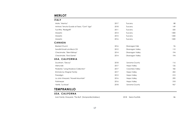### <span id="page-16-0"></span>**MERLOT**

| <b>ITALY</b>                                 |      |                 |      |
|----------------------------------------------|------|-----------------|------|
| Mate, "Mantus"                               | 2017 | Tuscany         | 88   |
| Antinori, Tenuta Guado al Tasso, "Cont' Ugo" | 2018 | Tuscany         | 149  |
| Tua Rita, "Redigaffi"                        | 2011 | Tuscany         | 550  |
| Masseto                                      | 2014 | Tuscany         | 1400 |
| Masseto                                      | 2015 | Tuscany         | 1450 |
| Masseto                                      | 2016 | Tuscany         | 1500 |
| CANADA                                       |      |                 |      |
| <b>Blasted Church</b>                        | 2016 | Okanagan Falls  | 96   |
| Sandhill Small Lots Block C8                 | 2012 | Okanagan Valley | 110  |
| Checkmate, "Silent Bishop"                   | 2014 | Okanagan Valley | 194  |
| Checkmate, "End Game"                        | 2014 | Okanagan Valley | 194  |
| USA, CALIFORNIA                              |      |                 |      |
| Duckhorn, "Decoy"                            | 2018 | Sonoma County   | 116  |
| Merryvale                                    | 2017 | Napa Valley     | 126  |
| Pedestal, "Long Shadows Collection"          | 2017 | Columbia Valley | 182  |
| Emmolo by Wagner Family                      | 2017 | Napa Valley     | 202  |
| Paradigm                                     | 2012 | Napa Valley     | 210  |
| La Jota Vineyard, "Howell Mountain"          | 2016 | Napa Valley     | 290  |
| Pahlmeyer                                    | 2016 | Napa Valley     | 318  |
| Verité, "La Muse"                            | 2018 | Sonoma County   | 967  |

### <span id="page-16-1"></span>**TEMPRANILLO**

#### **USA, CALIFORNA**

Irwin Family Vineyards, "The Bull", (Tempranillo/Malbec) 2018 Sierra Foothills 86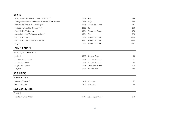#### **SPAIN**

| Marqués de Cáceres Gaudium, "Gran Vino"                | 2014  | Rioja            | 193  |
|--------------------------------------------------------|-------|------------------|------|
| Bodegas Montecillo, "Seleccion Especial", Gran Reserva | 1994. | Rioja            | 228  |
| Dominio de Pingus, "Flor de Pingus"                    | 2015  | Ribera del Duero | 245  |
| Bodega Numanthia, "Numanthia"                          | 2008  | Toro             | 250  |
| Vega Sicilia, "Valbuena"                               | 2016  | Ribera del Duero | 470  |
| Alvaro Palacios, "Quinon de Valmira"                   | 2016  | Rioja            | 828  |
| Vega Sicilia, "Unico"                                  | 2011  | Ribera del Duero | 1280 |
| Vega Sicilia, "Unico Riserva Especial"                 | MV    | Ribera del Duero | 1650 |
| Pingus                                                 | 2017  | Ribera del Duero | 2241 |

### <span id="page-17-0"></span>**ZINFANDEL**

#### **USA, CALIFORNIA**

| Sextant                  |      | 2015 Central Coast    | 68  |
|--------------------------|------|-----------------------|-----|
| St. Francis, "Old Vines" | 2017 | Sonoma County         | 92  |
| Duckhorn, "Decoy"        |      | 2019 Sonoma County    | 92  |
| Ridge, "East Bench"      |      | 2018 Dry Creek Valley | 116 |
| Caymus                   | 2018 | Napa Valley           | 140 |

### <span id="page-17-1"></span>**MALBEC**

| <b>ARGENTINA</b>    |      |              |    |
|---------------------|------|--------------|----|
| Terrazas, "Reserva" |      | 2018 Mendoza | 62 |
| Henry Lagarde       | 2019 | Mendoza      | 65 |

### <span id="page-17-2"></span>**CARMENERE**

#### **CHILE**

Montes, "Purple Angel" 2018 Colchagua Valley 210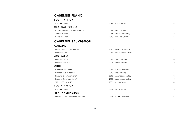### <span id="page-18-0"></span>**CABERNET FRANC**

#### **SOUTH AFRICA**

| Anthonij Rupert                     | <b>2011</b> | Franschhoek       | 184 |
|-------------------------------------|-------------|-------------------|-----|
| USA, CALIFORNIA                     |             |                   |     |
| La Jota Vineyard, "Howell Mountain" | 2017        | Napa Valley       | 211 |
| Jonata el Alma                      | 2013        | Santa Ynez Valley | 429 |
| Verité, "Le Désir"                  | 2018        | Sonoma County     | 967 |

### <span id="page-18-1"></span>**CABERNET SAUVIGNON**

#### **CANADA**

| Kettle Valley, "Barber Vineyard"    | 2015 | Naramata Bench             | 131 |
|-------------------------------------|------|----------------------------|-----|
| <b>Burrowing Owl</b>                | 2018 | <b>Black Sage, Osoyoos</b> | 135 |
| <b>AUSTRALIA</b>                    |      |                            |     |
| Penfolds, "Bin 707"                 | 2012 | South Australia            | 700 |
| Penfolds, "Bin 707"                 | 2004 | South Australia            | 750 |
| <b>CHILE</b>                        |      |                            |     |
| Cono Sur, "20 Barrels"              | 2017 | Valley Del Maipo           | 75  |
| Carmen, "Gold Reserve"              | 2010 | Maipo Valley               | 184 |
| Errazuriz, "Don Maximiano"          | 2015 | Aconcagua Valley           | 197 |
| Errazuriz, "Don Maximiano"          | 2011 | Aconcagua Valley           | 197 |
| Viñedo, "Chadwick"                  | 2006 | Maipo Valley               | 550 |
| <b>SOUTH AFRICA</b>                 |      |                            |     |
| Anthonij Rupert                     | 2014 | Franschhoek                | 198 |
| USA, WASHINGTON                     |      |                            |     |
| Pedestal, "Long Shadows Collection" | 2017 | Columbia Valley            | 182 |
|                                     |      |                            |     |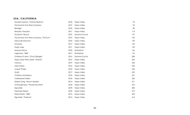#### **USA, CALIFORNIA**

| Kendall-Jackson, "Vintners Reserve"      | 2018 | Napa Valley   | 92  |
|------------------------------------------|------|---------------|-----|
| The Seventy Five Wine Company            | 2019 | Napa Valley   | 92  |
| Benziger                                 | 2018 | Napa Valley   | 80  |
| <b>Beaulieu Vineyard</b>                 | 2017 | Napa Valley   | 113 |
| Duckhorn "Decoy"                         | 2019 | Sonoma County | 121 |
| The Seventy Five Wine Company, "The Sum" | 2019 | Napa Valley   | 124 |
| Merryvale Starmont                       | 2018 | Napa Valley   | 139 |
| St-Supery                                | 2017 | Napa Valley   | 146 |
| Stags' Leap                              | 2017 | Napa Valley   | 159 |
| Sequoia Grove                            | 2018 | Rutherford    | 166 |
| Inglenook, "1882"                        | 2017 | Rutherford    | 176 |
| Chateau St Jean, "Cinq Cépages"          | 2016 | Sonoma County | 208 |
| Stag's Leap Wine Cellar, "Artemis"       | 2016 | Napa Valley   | 224 |
| Caymus                                   | 2019 | Napa Valley   | 234 |
| <b>Heitz Cellars</b>                     | 2016 | Napa Valley   | 240 |
| Joseph Phelps                            | 2018 | Napa Valley   | 244 |
| Groth                                    | 2017 | Napa Valley   | 252 |
| Château Montelena                        | 2018 | Napa Valley   | 261 |
| <b>Cakebread Cellars</b>                 | 2018 | Napa Valley   | 263 |
| Robert Craig, "Mount Veeder"             | 2014 | Napa Valley   | 271 |
| O'Shaughnessy, "Howell Mountain"         | 2018 | Napa Valley   | 276 |
| Signorello                               | 2018 | Napa Valley   | 285 |
| Freemark Abbey                           | 2018 | Napa Valley   | 319 |
| Ehlers Estate, "1886"                    | 2014 | Napa Valley   | 325 |
| Signorello, "Padrone"                    | 2014 | Napa Valley   | 414 |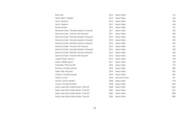| Silver Oak                                 | 2016 | Napa Valley   | 414  |
|--------------------------------------------|------|---------------|------|
| Heitz Cellars, "Trailside"                 | 2014 | Napa Valley   | 420  |
| Groth, "Reserve"                           | 2016 | Napa Valley   | 435  |
| Groth, "Reserve"                           | 2017 | Napa Valley   | 435  |
| Revana Estate                              | 2015 | Napa Valley   | 527  |
| Diamond Creek, "Gravelly Meadow Vineyard"  | 2011 | Napa Valley   | 530  |
| Diamond Creek, "Volcanic Hill Vineyard"    | 2011 | Napa Valley   | 550  |
| Diamond Creek, "Gravelly Meadow Vineyard"  | 2013 | Napa Valley   | 560  |
| Diamond Creek, "Gravelly Meadow Vineyard"  | 2015 | Napa Valley   | 590  |
| Diamond Creek, "Red Rock Terrace Vineyard" | 2015 | Napa Valley   | 600  |
| Diamond Creek, "Volcanic Hill Vineyard"    | 2015 | Napa Valley   | 610  |
| Diamond Creek, "Gravelly Meadow Vineyard"  | 2016 | Napa Valley   | 620  |
| Diamond Creek, "Red Rock Terrace Vineyard" | 2016 | Napa Valley   | 630  |
| Diamond Creek, "Volcanic Hill Vineyard"    | 2016 | Napa Valley   | 640  |
| Joseph Phelps, "Backus"                    | 2014 | Napa Valley   | 695  |
| Shafer, "Hillside Select"                  | 2011 | Napa Valley   | 700  |
| Chapellet, "Pritchard Hill"                | 2016 | Napa Valley   | 772  |
| Dominus, Christian Moueix                  | 2012 | Napa Valley   | 800  |
| Dalla Valle Vineyards                      | 2018 | Napa Valley   | 825  |
| Dominus, Christian Moueix                  | 2014 | Napa Valley   | 826  |
| Verité, "La Joie"                          | 2018 | Sonoma County | 967  |
| Lokoya, "Mount Veeder"                     | 2008 | Napa Valley   | 1150 |
| Lokoya, "Howell Mountain"                  | 2018 | Napa Valley   | 1250 |
| Stag's Leap Wine Cellars Estate, "Cask 23" | 2008 | Napa Valley   | 1260 |
| Stag's Leap Wine Cellars Estate, "Cask 23" | 2000 | Napa Valley   | 1270 |
| Stag's Leap Wine Cellars Estate, "Cask 23" | 2007 | Napa Valley   | 1280 |
| Stag's Leap Wine Cellars Estate, "Cask 23" | 2002 | Napa Valley   | 1300 |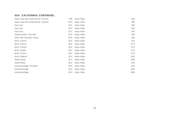#### **USA, CALIFORNIA CONTINUED...**

<span id="page-21-0"></span>

| Stag's Leap Wine Cellars Estate, "Cask 23" | 1998 | Napa Valley | 1320 |
|--------------------------------------------|------|-------------|------|
| Stag's Leap Wine Cellars Estate, "Cask 23" | 2014 | Napa Valley | 1350 |
| Opus One                                   | 2012 | Napa Valley | 1400 |
| Opus One                                   | 2013 | Napa Valley | 1423 |
| Opus One                                   | 2017 | Napa Valley | 1500 |
| Tesseron Estate, "Pym-Rae"                 | 2016 | Napa Valley | 1550 |
| Dalla Valle Vineyards, "Maya"              | 2018 | Napa Valley | 1650 |
| Bond, "Vecina"                             | 2014 | Napa Valley | 1812 |
| Bond, "Vecina"                             | 2016 | Napa Valley | 2172 |
| Bond, "St Eden"                            | 2016 | Napa Valley | 2172 |
| Bond, "Quella"                             | 2016 | Napa Valley | 2172 |
| Bond, "Pluribus"                           | 2016 | Napa Valley | 2172 |
| Bond, "Melbury"                            | 2016 | Napa Valley | 2250 |
| Harlan Estate                              | 2012 | Napa Valley | 2500 |
| Harlan Estate                              | 2013 | Napa Valley | 3100 |
| Screaming Eagle, "The Flight"              | 2018 | Napa Valley | 3720 |
| Screaming Eagle                            | 2014 | Napa Valley | 6200 |
| Screaming Eagle                            | 2016 | Napa Valley | 8200 |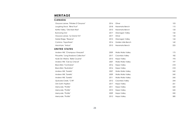### **MERITAGE**

#### **CANADA**

| Osoyoos Larose, "Pétales D'Osoyoos"  | 2016 | Oliver             | 103 |
|--------------------------------------|------|--------------------|-----|
| Laughing Stock, "Blind Trust"        | 2018 | Naramata Bench     | 110 |
| Kettle Valley, "Old Main Red"        | 2013 | Naramata Bench     | 133 |
| <b>Burrowing Owl</b>                 | 2017 | Okanagan Valley    | 142 |
| Osoyoos Larose, "Le Grand Vin"       | 2017 | Oliver             | 143 |
| Noble Ridge, "Reserve"               | 2015 | Okanagan Valley    | 144 |
| Culmina, "Hypothesis"                | 2014 | Golden Mile Bench  | 160 |
| Macintyre, "Ardua"                   | 2013 | Naramata Bench     | 225 |
| UNITED STATES                        |      |                    |     |
| Andrew Will, "Champoux Vineyard"     | 2009 | Walla Walla Valley | 175 |
| Pirouette, "Long Shadows Collection" | 2017 | Columbia Valley    | 182 |
| Hyde De Villaine, "Belle Cousine"    | 2013 | Napa Valley        | 193 |
| Andrew Will, "Ciel du Cheval"        | 2007 | Walla Walla Valley | 197 |
| <b>Black Bird, "Contrarian"</b>      | 2016 | Napa Valley        | 218 |
| <b>Black Bird, "Illustration"</b>    | 2016 | Napa Valley        | 218 |
| Andrew Will, "Sorella"               | 2007 | Walla Walla Valley | 242 |
| Andrew Will, "Sorella"               | 2009 | Walla Walla Valley | 245 |
| Andrew Will, "Sorella"               | 2011 | Walla Walla Valley | 245 |
| Quilceda Creek, "CVR"                | 2012 | Columbia Valley    | 244 |
| Orin Swift, Papillon                 | 2017 | Napa Valley        | 251 |
| Merryvale, "Profile"                 | 2011 | Napa Valley        | 520 |
| Merryvale, "Profile"                 | 2010 | Napa Valley        | 545 |
| Merryvale, "Profile"                 | 2009 | Napa Valley        | 550 |
| Merryvale, "Profile"                 | 2012 | Napa Valley        | 580 |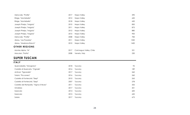| 2012<br>650<br>Ridge, "Montebello"<br>Napa Valley<br>2018<br>Ridge, "Montebello"<br>Napa Valley<br>650<br>Joseph Phelps, "Insignia"<br>2010<br>850<br>Napa Valley<br>875<br>2011<br>Joseph Phelps, "Insignia"<br>Napa Valley<br>2012<br>880<br>Joseph Phelps, "Insignia"<br>Napa Valley<br>2015<br>900<br>Joseph Phelps, "Insignia"<br>Napa Valley<br>Merryvale, "Profile"<br>2008<br>784<br>Napa Valley<br>Abreu, "Las Posadas"<br>1350<br>2011<br>Napa Valley<br>Abreu, "Madrona Ranch"<br>2010<br>1450<br>Napa Valley<br><b>OTHER REGIONS</b> | 590 |
|--------------------------------------------------------------------------------------------------------------------------------------------------------------------------------------------------------------------------------------------------------------------------------------------------------------------------------------------------------------------------------------------------------------------------------------------------------------------------------------------------------------------------------------------------|-----|
|                                                                                                                                                                                                                                                                                                                                                                                                                                                                                                                                                  |     |
|                                                                                                                                                                                                                                                                                                                                                                                                                                                                                                                                                  |     |
|                                                                                                                                                                                                                                                                                                                                                                                                                                                                                                                                                  |     |
|                                                                                                                                                                                                                                                                                                                                                                                                                                                                                                                                                  |     |
|                                                                                                                                                                                                                                                                                                                                                                                                                                                                                                                                                  |     |
|                                                                                                                                                                                                                                                                                                                                                                                                                                                                                                                                                  |     |
|                                                                                                                                                                                                                                                                                                                                                                                                                                                                                                                                                  |     |
|                                                                                                                                                                                                                                                                                                                                                                                                                                                                                                                                                  |     |
|                                                                                                                                                                                                                                                                                                                                                                                                                                                                                                                                                  |     |
|                                                                                                                                                                                                                                                                                                                                                                                                                                                                                                                                                  |     |
| 221<br>Montes Alpha, "M"<br>2017<br>Colchagua Valley, Chile                                                                                                                                                                                                                                                                                                                                                                                                                                                                                      |     |
| 2008<br>230<br>Maculan, "Fratta"<br>Veneto, Italy                                                                                                                                                                                                                                                                                                                                                                                                                                                                                                |     |
| <b>SUPER TUSCAN</b>                                                                                                                                                                                                                                                                                                                                                                                                                                                                                                                              |     |

<span id="page-23-0"></span>

| <b>ITALY</b>                           |      |         |     |
|----------------------------------------|------|---------|-----|
| Querciabella, "Mongrana"               | 2018 | Tuscany | 95  |
| Castello di Querceto, "Cignale"        | 2016 | Tuscany | 189 |
| Antinori, "Tignanello"                 | 2017 | Tuscany | 260 |
| Tolaini, "Picconero"                   | 2016 | Tuscany | 260 |
| Castello di Fonterutoli, "Siepi"       | 2010 | Tuscany | 265 |
| Castello di Fonterutoli, "Siepi"       | 2007 | Tuscany | 278 |
| Castello dei Rampolla, "Vigna d'Alceo" | 2011 | Tuscany | 355 |
| Ornellaia                              | 2017 | Tuscany | 501 |
| Sassicaia                              | 2014 | Tuscany | 600 |
| Sassicaia                              | 2015 | Tuscany | 650 |
| Solaia                                 | 2017 | Tuscany | 675 |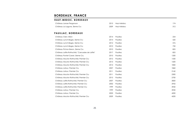### <span id="page-24-0"></span>**BORDEAUX, FRANCE**

#### **HAUT -MEDOC, BORDEAUX**

| Château Larose Perganson                         | 2015 | Haut-Médoc | 174  |
|--------------------------------------------------|------|------------|------|
| Château La Lagune, 3ieme Cru                     | 2009 | Haut-Médoc | 312  |
| <b>PAUILLAC, BORDEAUX</b>                        |      |            |      |
| Château Clerc Milon                              | 2014 | Pauillac   | 254  |
| Château Lynch-Bages, 5ieme Cru                   | 2014 | Pauillac   | 520  |
| Château Lynch-Bages, 5ieme Cru                   | 2012 | Pauillac   | 576  |
| Château Lynch-Bages, 5ieme Cru                   | 2010 | Pauillac   | 750  |
| Château Pichon Baron, 2ieme Cru                  | 2010 | Pauillac   | 825  |
| Château Lafite Rothschild, "Carruades de Lafite" | 2017 | Pauillac   | 825  |
| Château Pontet Canet, 5ieme Cru                  | 2010 | Pauillac   | 1200 |
| Château Mouton Rothschild, Premier Cru           | 2012 | Pauillac   | 1550 |
| Château Mouton Rothschild, Premier Cru           | 2013 | Pauillac   | 1600 |
| Château Mouton Rothschild, Premier Cru           | 2014 | Pauillac   | 1850 |
| Château Latour, Premier Cru                      | 2007 | Pauillac   | 1860 |
| Château Latour, Premier Cru                      | 2011 | Pauillac   | 2160 |
| Château Mouton Rothschild, Premier Cru           | 2011 | Pauillac   | 2300 |
| Château Mouton Rothschild, Premier Cru           | 2015 | Pauillac   | 2700 |
| Château Lafite Rothschild, Premier Cru           | 2007 | Pauillac   | 2820 |
| Château Lafite Rothschild, Premier Cru           | 2002 | Pauillac   | 2955 |
| Château Lafite Rothschild, Premier Cru           | 1999 | Pauillac   | 3920 |
| Château Latour, Premier Cru                      | 1999 | Pauillac   | 3920 |
| Château Latour, Premier Cru                      | 2003 | Pauillac   | 4200 |
| Château Mouton Rothschild, Premier Cru           | 2009 | Pauillac   | 4200 |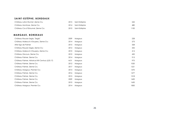### **SAINT - ESTÈPHE, BORDEAUX**

| Saint-Estèphe | 242  |
|---------------|------|
| Saint-Estèphe | 480  |
| Saint-Estèphe | 1100 |
|               |      |
|               |      |
| Margaux       | 228  |
| Margaux       | 273  |
| Margaux       | 328  |
| Margaux       | 335  |
| Margaux       | 414  |
| Margaux       | 450  |
| Margaux       | 913  |
| Margaux       | 975  |
| Margaux       | 1020 |
| Margaux       | 1221 |
| Margaux       | 1470 |
| Margaux       | 1477 |
| Margaux       | 1518 |
| Margaux       | 1600 |
| Margaux       | 1650 |
| Margaux       | 1850 |
|               |      |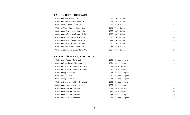#### **SAINT -JULIEN, BORDEAUX**

| Château Talbot, 4ieme Cru             | 2014 | Saint-Julien | 228  |
|---------------------------------------|------|--------------|------|
| Château Gruaud-Larose, 2ieme Cru      | 2014 | Saint-Julien | 255  |
| Château Saint Pierre, 4ieme Cru       | 2015 | Saint-Julien | 285  |
| Château Gruaud-Larose, 2ieme Cru      | 2015 | Saint-Julien | 330  |
| Château de Beychevelle, 4ieme Cru     | 2012 | Saint-Julien | 343  |
| Château Clos Du Marquis, Grand Vin    | 2015 | Saint-Julien | 345  |
| Château de Beychevelle, 4 ieme Cru    | 2015 | Saint-Julien | 348  |
| Château Léoville Poyferre, 2ieme Cru  | 1997 | Saint-Julien | 570  |
| Château Léoville Las Cases, 2ieme Cru | 2010 | Saint-Julien | 837  |
| Château Gruaud-Larose, 2ieme Cru      | 1964 | Saint-Julien | 875  |
| Château Léoville Las Cases, 2ieme Cru | 2009 | Saint-Julien | 1270 |

### **PESSAC- LÉOGNAN, BORDEAUX**

| Château de Fieuzal, Cru Classé         | 2015 | Pessac-Léognan | 240  |
|----------------------------------------|------|----------------|------|
| Château Domaine de Chevalier           | 2014 | Pessac-Léognan | 258  |
| Château Smith Haut Lafitte, Cru Classé | 2011 | Pessac-Léognan | 278  |
| Château Smith Haut Lafitte, Cru Classé | 2014 | Pessac-Léognan | 315  |
| Château Pape Clemant                   | 2015 | Pessac-Léognan | 414  |
| Château Haut Bailly                    | 2010 | Pessac-Léognan | 425  |
| Château Pape Clemant                   | 2016 | Pessac-Léognan | 475  |
| Château Smith Haut Lafitte, Cru Classé | 2016 | Pessac-Léognan | 495  |
| Château Clarence de Haut-Brion         | 2009 | Pessac-Léognan | 826  |
| Château Haut-Brion, Premier Cru        | 2014 | Pessac-Léognan | 1470 |
| Château Haut-Brion, Premier Cru        | 1976 | Pessac-Léognan | 1500 |
| Château Haut-Brion, Premier Cru        | 1988 | Pessac-Léognan | 1600 |
| Château Haut-Brion, Premier Cru        | 2016 | Pessac-Léognan | 1800 |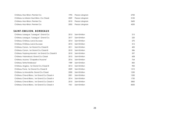| Château Haut-Brion, Premier Cru           | '995 | Pessac-Léognan | 2700 |
|-------------------------------------------|------|----------------|------|
| Château La Mission Haut-Brion, Cru Classé | 2009 | Pessac-Léognan | 3100 |
| Château Haut-Brion, Premier Cru           | 2010 | Pessac-Léognan | 3600 |
| Château Haut-Brion, Premier Cru           | 2005 | Pessac-Léognan | 4200 |

#### **SAINT -EMILION, BORDEAUX**

| Château Lassegue, "Lassegue", Grand Cru          | 2015 | Saint-Emilion | 215  |
|--------------------------------------------------|------|---------------|------|
| Château Lassegue, "Lassegue", Grand Cru          | 2017 | Saint-Emilion | 220  |
| Château Château Larcis-Ducasse                   | 2014 | Saint-Emilion | 270  |
| Château Château Larcis-Ducasse                   | 2015 | Saint-Emilion | 315  |
| Château Canon, 1er Grand Cru Classé B            | 2011 | Saint-Emilion | 400  |
| Château Canon, 1er Grand Cru Classé B            | 2010 | Saint-Emilion | 586  |
| Château Troplong Mondot, 1 er Grand Cru Classé B | 2010 | Saint-Emilion | 597  |
| Château Valandraud, Grand Cru Classé             | 2015 | Saint-Emilion | 608  |
| Château Ausone, "Chapelle d'Ausone"              | 2016 | Saint-Emilion | 764  |
| Château Tertre Roteboeuf                         | 1989 | Saint-Emilion | 850  |
| Château Angelus, 1 er Grand Cru Classé B         | 2014 | Saint-Emilion | 900  |
| Château Pavie, 1 er Grand Cru Classé B           | 2009 | Saint-Emilion | 1210 |
| Château La Mondotte, Grand Cru Classé            | 2000 | Saint-Emilion | 1250 |
| Château Cheval Blanc, 1er Grand Cru Classé A     | 2001 | Saint-Emilion | 1350 |
| Château Cheval Blanc, 1 er Grand Cru Classé A    | 2014 | Saint-Emilion | 1750 |
| Château Cheval Blanc, 1er Grand Cru Classé A     | 2010 | Saint-Emilion | 3850 |
| Château Cheval Blanc, 1er Grand Cru Classé A     | 1961 | Saint-Emilion | 8500 |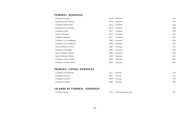#### **POMEROL, BORDEAUX**

| 2018 | Pomerol | 214                |
|------|---------|--------------------|
| 2014 |         | 270                |
| 2015 | Pomerol | 328                |
| 2015 | Pomerol | 360                |
| 2011 | Pomerol | 392                |
| 2015 |         | 415                |
| 2011 | Pomerol | 487                |
| 2002 | Pomerol | 506                |
| 2003 | Pomerol | 534                |
| 2005 | Pomerol | 755                |
| 2009 | Pomerol | 1150               |
| 2009 | Pomerol | 1150               |
| 2010 | Pomerol | 1160               |
| 2009 | Pomerol | 1180               |
| 2010 | Pomerol | 1200               |
|      |         | Pomerol<br>Pomerol |

#### **FRONSAC, LISTRAC BORDEAUX**

| Château La Dauphine | 2011 | Fronsac | 133 |
|---------------------|------|---------|-----|
| Château Fontenil    | 2011 | Fronsac | 166 |
| Château Fontenil    | 2010 | Fronsac | 170 |
| Château Fontenil    | 2009 | Fronsac | 180 |

#### **LALANDE DE POMEROL, BORDEAUX**

| Château Perron | 2012 | Lalande-de-Pomerol | 100 |
|----------------|------|--------------------|-----|
|                |      |                    |     |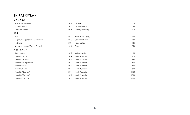### <span id="page-29-0"></span>**SHIRAZ/SYRAH**

| <b>CANADA</b>                     |      |                    |      |
|-----------------------------------|------|--------------------|------|
| Mission Hill, "Reserve"           | 2018 | Kelowna            | 76   |
| <b>Blasted Church</b>             | 2017 | Okanagan Falls     | 85   |
| <b>Black Hills Estate</b>         | 2018 | Okanagan Valley    | 119  |
| <b>USA</b>                        |      |                    |      |
| Trust                             | 2014 | Walla Walla Valley | 120  |
| Sequel, "Long Shadows Collection" | 2017 | Columbia Valley    | 182  |
| La Sirena                         | 2004 | Napa Valley        | 185  |
| Domaine Serene, "Grand Cheval"    | 2012 | Oregon             | 250  |
| <b>AUSTRALIA</b>                  |      |                    |      |
| Thomas Goss                       | 2017 | Mclaren Vale       | 86   |
| Penfolds, "St Henri"              | 2014 | South Australia    | 213  |
| Penfolds, "St Henri"              | 2015 | South Australia    | 230  |
| Penfolds, "Magill Estate"         | 2011 | South Australia    | 300  |
| Penfolds, "RWT"                   | 2012 | South Australia    | 320  |
| Penfolds, "RWT"                   | 2011 | South Australia    | 320  |
| Penfolds, "Grange"                | 2014 | South Australia    | 1150 |
| Penfolds, "Grange"                | 2013 | South Australia    | 1200 |
| Penfolds, "Grange"                | 2012 | South Australia    | 1300 |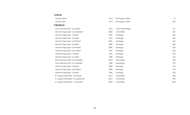<span id="page-30-0"></span>

| <b>CUILE</b>                        |      |                  |      |
|-------------------------------------|------|------------------|------|
| Montes Alpha                        | 2017 | Colchagua Valley | 75   |
| Montes Folly                        | 2017 | Colchagua Valley | 225  |
| <b>FRANCE</b>                       |      |                  |      |
| Paul Jaboulet Aine, "Les Jalets"    | 2016 | Crozes-Hermitage | 101  |
| Michel Chapoutier, "La Mordorée"    | 2000 | Côte Rôtie       | 410  |
| Michel Chapoutier, "L'Ermite"       | 1999 | Ermitage         | 460  |
| Michel Chapoutier, "Le Méal"        | 1996 | Ermitage         | 550  |
| Michel Chapoutier, "Le Pavillon"    | 2001 | Ermitage         | 565  |
| Michel Chapoutier, "Le Méal"        | 2000 | Ermitage         | 600  |
| Michel Chapoutier, "Le Pavillon"    | 2000 | Ermitage         | 600  |
| Michel Chapoutier, "Le Pavillon"    | 1997 | Ermitage         | 625  |
| Michel Chapoutier, "L'Ermite"       | 1997 | Ermitage         | 625  |
| Michel Chapoutier, "Le Méal"        | 1998 | Ermitage         | 675  |
| Paul Jaboulet Ainé, "La Chapelle"   | 2018 | Hermitage        | 725  |
| Paul Jaboulet Ainé, "La Chapelle"   | 1983 | Hermitage        | 750  |
| Michel Chapoutier, "L'Ermite"       | 2000 | Ermitage         | 750  |
| Michel Chapoutier, "Le Pavillon"    | 1998 | Ermitage         | 775  |
| Michel Chapoutier, "L'Ermite"       | 1998 | Ermitage         | 875  |
| E. Guigal Côte-Rôtie, "La Turque"   | 2012 | Côte Rôtie       | 945  |
| E. Guigal Côte-Rôtie, "La Landonne" | 2012 | Côte Rôtie       | 995  |
| E. Guigal Côte-Rôtie, "La Mouline"  | 2004 | Côte Rôtie       | 1200 |

#### **CHILE**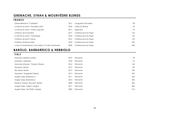## **GRENACHE, SYRAH & MOURVÈDRE BLENDS**

#### **FRANCE**

| Gérard Bertrand, "Corbières"                           | 2017 | Languedoc-Roussillon | 58  |
|--------------------------------------------------------|------|----------------------|-----|
| La Ferme du Mont, "Première Côte"                      | 2018 | Côtes Du Rhône       | 69  |
| La Ferme du Mont, "Côtes Jugunda"                      | 2017 | Gigondas             | 113 |
| Château de la Gardine                                  | 2017 | Châteauneuf-du-Pape  | 152 |
| La Ferme du Mont, "Vendange"                           | 2018 | Châteauneuf-du-Pape  | 164 |
| Château de Saint Cosme                                 | 2016 | Châteauneuf-du-Pape  | 192 |
| Château de Beaucastel                                  | 2018 | Châteauneuf-du-Pape  | 229 |
| Lucien & Andre Brunel, "Les Cailloux" Cuvée Centenaire | 2000 | Châteauneuf-du-Pape  | 400 |

### <span id="page-31-0"></span>**BAROLO, BARBARESCO & NEBBIOLO**

#### **ITALY**

| Massolino, Barbera d'Alba             | 2019 | Piemonte | 78  |
|---------------------------------------|------|----------|-----|
| Massolino, Nebbiolo                   | 2018 | Piemonte | 116 |
| Marchesi di Barolo, "Classico" Barolo | 2016 | Piemonte | 160 |
| Massolino, Barolo                     | 2017 | Piemonte | 195 |
| Elio Altare, Barolo                   | 2017 | Piemonte | 234 |
| Massolino, "Margheria" Barolo         | 2017 | Piemonte | 299 |
| Angelo Gaja, Barbaresco               | 2011 | Piemonte | 565 |
| Angelo Gaja, Barbaresco               | 2013 | Piemonte | 585 |
| Roberto Voerzio, "Brunate", Barolo    | 2000 | Piemonte | 600 |
| Angelo Gaja, "Sperss" Langhe          | 2011 | Piemonte | 824 |
| Angelo Gaja, "Sori Tildin" Langhe     | 2003 | Piemonte | 915 |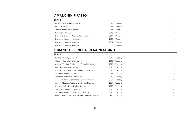### <span id="page-32-0"></span>**AMARONE/ RIPASSO**

#### **ITALY**

| Brigaldara, Valpolicella Ripasso         | 2016 | Veneto | 105 |
|------------------------------------------|------|--------|-----|
| Masi, Costasera                          | 2015 | Veneto | 131 |
| Zenato, Amarone, "Classico"              | 2016 | Veneto | 139 |
| Brigaldara, Amarone                      | 2015 | Veneto | 160 |
| Dal Forno Romano, Valpolicella Superiore | 2014 | Veneto | 345 |
| Dal Forno Romano, Amarone                | 2010 | Veneto | 905 |
| Dal Forno Romano, Amarone                | 2009 | Veneto | 935 |
| Dal Forno Romano, Amarone                | 2008 | Veneto | 965 |

### <span id="page-32-1"></span>**CHIANTI & BRUNELLO DI MONTALCINO**

#### **ITALY**

| Fontodi, Chianti, "Classico"                           | 2017 | Tuscany | 110  |
|--------------------------------------------------------|------|---------|------|
| Caparzo, Brunello di Montalcino                        | 2016 | Tuscany | 159  |
| Antinori, "Badia A Passignano", Chianti Classico       | 2017 | Tuscany | 160  |
| Banfi, Brunello di Montalcino                          | 2015 | Tuscany | 185  |
| Antinori, "Pian delle Vigne", Brunello di Montalcino   | 2015 | Tuscany | 191  |
| Terralsole, Brunello di Montalcino                     | 2016 | Tuscany | 210  |
| Terralsole, Brunello di Montalcino                     | 2012 | Tuscany | 235  |
| Antinori, "Badia A Passignano", Chianti Classico       | 2007 | Tuscany | 210  |
| Antinori, "Badia A Passignano", Chianti Classico       | 2009 | Tuscany | 195  |
| Mate, Brunello di Montalcino, Riserva                  | 2015 | Tuscany | 217  |
| Valdicava, Brunello di Montalcino                      | 2015 | Tuscany | 342  |
| Terralsole, Brunello di Montalcino, Riserva            | 2015 | Tuscany | 384  |
| Biondi Santi, Brunello di Montalcino, "Greppo" Riserva | 1985 | Tuscany | 1780 |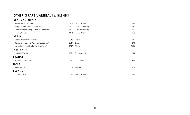### <span id="page-33-0"></span>**OTHER GRAPE VARIETALS & BLENDS**

| USA, CALIFORNIA                            |      |                     |      |
|--------------------------------------------|------|---------------------|------|
| Merryvale, "Forward Kidd"                  | 2018 | Napa Valley         | 172  |
| Saggi, "Long Shadows Collection"           | 2017 | Columbia Valley     | 182  |
| Chester Kidder, "Long Shadows Collection"  | 2017 | Columbia Valley     | 182  |
| Jonata, "Todos"                            | 2015 | Santa Ynez          | 195  |
| <b>SPAIN</b>                               |      |                     |      |
| Cellers de Scala Dei Cartoixa              | 2015 | Priorat             | 186  |
| Descendientes de J. Palacios, "Las Lamas"  | 2017 | Bierzo              | 278  |
| Alvaro Palacios, L'Ermita, "Velles Vinyes" | 2018 | Priorat             | 2450 |
| <b>AUSTRALIA</b>                           |      |                     |      |
| Penfolds, "Bin 389"                        | 2016 | South Australia     | 154  |
| <b>FRANCE</b>                              |      |                     |      |
| Mas des Dumas Gassac                       | 1990 | Languedoc           | 450  |
| <b>ITALY</b>                               |      |                     |      |
| Terralsole, "Trio"                         | 2009 | Tuscany             | 275  |
| <b>LEBANON</b>                             |      |                     |      |
| Château Musar                              | 2014 | <b>Bekaa Valley</b> | 162  |